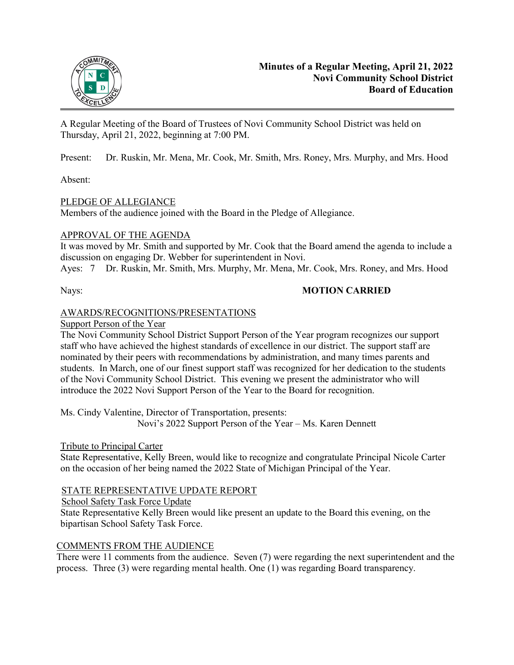

A Regular Meeting of the Board of Trustees of Novi Community School District was held on Thursday, April 21, 2022, beginning at 7:00 PM.

Present: Dr. Ruskin, Mr. Mena, Mr. Cook, Mr. Smith, Mrs. Roney, Mrs. Murphy, and Mrs. Hood

Absent:

# PLEDGE OF ALLEGIANCE

Members of the audience joined with the Board in the Pledge of Allegiance.

# APPROVAL OF THE AGENDA

It was moved by Mr. Smith and supported by Mr. Cook that the Board amend the agenda to include a discussion on engaging Dr. Webber for superintendent in Novi.

Ayes: 7 Dr. Ruskin, Mr. Smith, Mrs. Murphy, Mr. Mena, Mr. Cook, Mrs. Roney, and Mrs. Hood

# Nays: **MOTION CARRIED**

# AWARDS/RECOGNITIONS/PRESENTATIONS

Support Person of the Year

The Novi Community School District Support Person of the Year program recognizes our support staff who have achieved the highest standards of excellence in our district. The support staff are nominated by their peers with recommendations by administration, and many times parents and students. In March, one of our finest support staff was recognized for her dedication to the students of the Novi Community School District. This evening we present the administrator who will introduce the 2022 Novi Support Person of the Year to the Board for recognition.

Ms. Cindy Valentine, Director of Transportation, presents: Novi's 2022 Support Person of the Year – Ms. Karen Dennett

# Tribute to Principal Carter

State Representative, Kelly Breen, would like to recognize and congratulate Principal Nicole Carter on the occasion of her being named the 2022 State of Michigan Principal of the Year.

# STATE REPRESENTATIVE UPDATE REPORT

School Safety Task Force Update

State Representative Kelly Breen would like present an update to the Board this evening, on the bipartisan School Safety Task Force.

# COMMENTS FROM THE AUDIENCE

There were 11 comments from the audience. Seven (7) were regarding the next superintendent and the process. Three (3) were regarding mental health. One (1) was regarding Board transparency.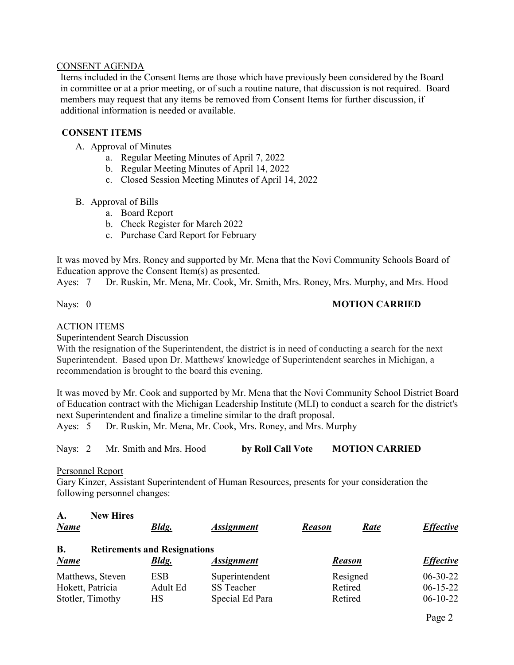#### CONSENT AGENDA

Items included in the Consent Items are those which have previously been considered by the Board in committee or at a prior meeting, or of such a routine nature, that discussion is not required. Board members may request that any items be removed from Consent Items for further discussion, if additional information is needed or available.

#### **CONSENT ITEMS**

- A. Approval of Minutes
	- a. Regular Meeting Minutes of April 7, 2022
	- b. Regular Meeting Minutes of April 14, 2022
	- c. Closed Session Meeting Minutes of April 14, 2022
- B. Approval of Bills
	- a. Board Report
	- b. Check Register for March 2022
	- c. Purchase Card Report for February

It was moved by Mrs. Roney and supported by Mr. Mena that the Novi Community Schools Board of Education approve the Consent Item(s) as presented.

Ayes: 7 Dr. Ruskin, Mr. Mena, Mr. Cook, Mr. Smith, Mrs. Roney, Mrs. Murphy, and Mrs. Hood

# Nays: 0 **MOTION CARRIED**

#### ACTION ITEMS

Superintendent Search Discussion

With the resignation of the Superintendent, the district is in need of conducting a search for the next Superintendent. Based upon Dr. Matthews' knowledge of Superintendent searches in Michigan, a recommendation is brought to the board this evening.

It was moved by Mr. Cook and supported by Mr. Mena that the Novi Community School District Board of Education contract with the Michigan Leadership Institute (MLI) to conduct a search for the district's next Superintendent and finalize a timeline similar to the draft proposal.

Ayes: 5 Dr. Ruskin, Mr. Mena, Mr. Cook, Mrs. Roney, and Mrs. Murphy

Nays: 2 Mr. Smith and Mrs. Hood **by Roll Call Vote MOTION CARRIED**

#### Personnel Report

Gary Kinzer, Assistant Superintendent of Human Resources, presents for your consideration the following personnel changes:

| A.<br><b>Name</b>                    | <b>New Hires</b> | <b>Bldg.</b>                                        | <b>Assignment</b>                               | <b>Reason</b>      | Rate     | <b>Effective</b>                           |
|--------------------------------------|------------------|-----------------------------------------------------|-------------------------------------------------|--------------------|----------|--------------------------------------------|
| <b>B.</b><br><b>Name</b>             |                  | <b>Retirements and Resignations</b><br><b>Bldg.</b> | <b>Assignment</b>                               | <b>Reason</b>      |          | <b>Effective</b>                           |
| Hokett, Patricia<br>Stotler, Timothy | Matthews, Steven | <b>ESB</b><br>Adult Ed<br>НS                        | Superintendent<br>SS Teacher<br>Special Ed Para | Retired<br>Retired | Resigned | $06 - 30 - 22$<br>$06-15-22$<br>$06-10-22$ |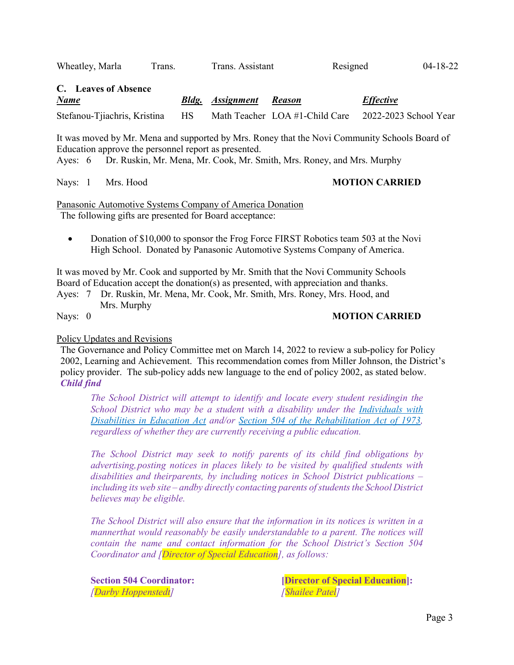Wheatley, Marla Trans. Trans. Assistant Resigned 04-18-22

**C. Leaves of Absence** *Name Bldg. Assignment Reason Effective*  Stefanou-Tjiachris, Kristina HS Math Teacher LOA #1-Child Care 2022-2023 School Year

It was moved by Mr. Mena and supported by Mrs. Roney that the Novi Community Schools Board of Education approve the personnel report as presented.

Ayes: 6 Dr. Ruskin, Mr. Mena, Mr. Cook, Mr. Smith, Mrs. Roney, and Mrs. Murphy

Nays: 1 Mrs. Hood **MOTION CARRIED** 

Panasonic Automotive Systems Company of America Donation The following gifts are presented for Board acceptance:

• Donation of \$10,000 to sponsor the Frog Force FIRST Robotics team 503 at the Novi High School. Donated by Panasonic Automotive Systems Company of America.

It was moved by Mr. Cook and supported by Mr. Smith that the Novi Community Schools Board of Education accept the donation(s) as presented, with appreciation and thanks.

Ayes: 7 Dr. Ruskin, Mr. Mena, Mr. Cook, Mr. Smith, Mrs. Roney, Mrs. Hood, and Mrs. Murphy

# Nays: 0 **MOTION CARRIED**

# Policy Updates and Revisions

The Governance and Policy Committee met on March 14, 2022 to review a sub-policy for Policy 2002, Learning and Achievement. This recommendation comes from Miller Johnson, the District's policy provider. The sub-policy adds new language to the end of policy 2002, as stated below. *Child find* 

*The School District will attempt to identify and locate every student residingin the School District who may be a student with a disability under the Individuals with Disabilities in Education Act and/or Section 504 of the Rehabilitation Act of 1973, regardless of whether they are currently receiving a public education.*

*The School District may seek to notify parents of its child find obligations by advertising, posting notices in places likely to be visited by qualified students with disabilities and theirparents, by including notices in School District publications – including its web site – and by directly contacting parents of students the School District believes may be eligible.*

*The School District will also ensure that the information in its notices is written in a manner that would reasonably be easily understandable to a parent. The notices will contain the name and contact information for the School District's Section 504 Coordinator and [Director of Special Education], as follows:*

*[Darby Hoppenstedt] [Shailee Patel]*

**Section 504 Coordinator: [Director of Special Education]:**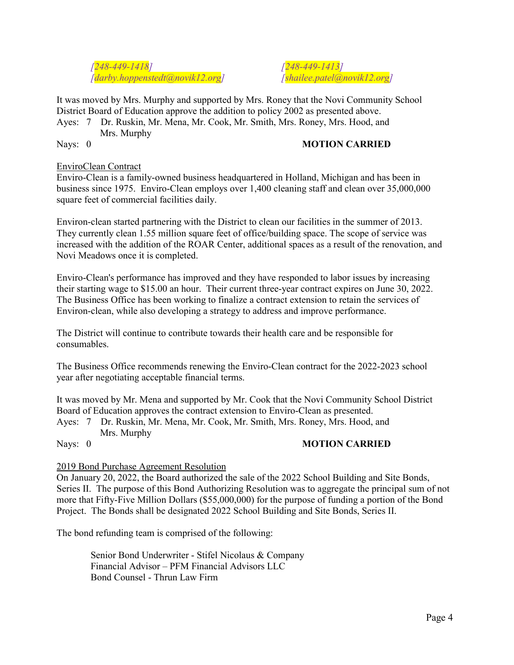*[248-449-1418] [248-449-1413] [darby.hoppenstedt@novik12.org] [shailee.patel@novik12.org]*

It was moved by Mrs. Murphy and supported by Mrs. Roney that the Novi Community School District Board of Education approve the addition to policy 2002 as presented above.

Ayes: 7 Dr. Ruskin, Mr. Mena, Mr. Cook, Mr. Smith, Mrs. Roney, Mrs. Hood, and Mrs. Murphy

# Nays: 0 **MOTION CARRIED**

#### EnviroClean Contract

Enviro-Clean is a family-owned business headquartered in Holland, Michigan and has been in business since 1975. Enviro-Clean employs over 1,400 cleaning staff and clean over 35,000,000 square feet of commercial facilities daily.

Environ-clean started partnering with the District to clean our facilities in the summer of 2013. They currently clean 1.55 million square feet of office/building space. The scope of service was increased with the addition of the ROAR Center, additional spaces as a result of the renovation, and Novi Meadows once it is completed.

Enviro-Clean's performance has improved and they have responded to labor issues by increasing their starting wage to \$15.00 an hour. Their current three-year contract expires on June 30, 2022. The Business Office has been working to finalize a contract extension to retain the services of Environ-clean, while also developing a strategy to address and improve performance.

The District will continue to contribute towards their health care and be responsible for consumables.

The Business Office recommends renewing the Enviro-Clean contract for the 2022-2023 school year after negotiating acceptable financial terms.

It was moved by Mr. Mena and supported by Mr. Cook that the Novi Community School District Board of Education approves the contract extension to Enviro-Clean as presented.

# Ayes: 7 Dr. Ruskin, Mr. Mena, Mr. Cook, Mr. Smith, Mrs. Roney, Mrs. Hood, and Mrs. Murphy

# Nays: 0 **MOTION CARRIED**

# 2019 Bond Purchase Agreement Resolution

On January 20, 2022, the Board authorized the sale of the 2022 School Building and Site Bonds, Series II. The purpose of this Bond Authorizing Resolution was to aggregate the principal sum of not more that Fifty-Five Million Dollars (\$55,000,000) for the purpose of funding a portion of the Bond Project. The Bonds shall be designated 2022 School Building and Site Bonds, Series II.

The bond refunding team is comprised of the following:

Senior Bond Underwriter - Stifel Nicolaus & Company Financial Advisor – PFM Financial Advisors LLC Bond Counsel - Thrun Law Firm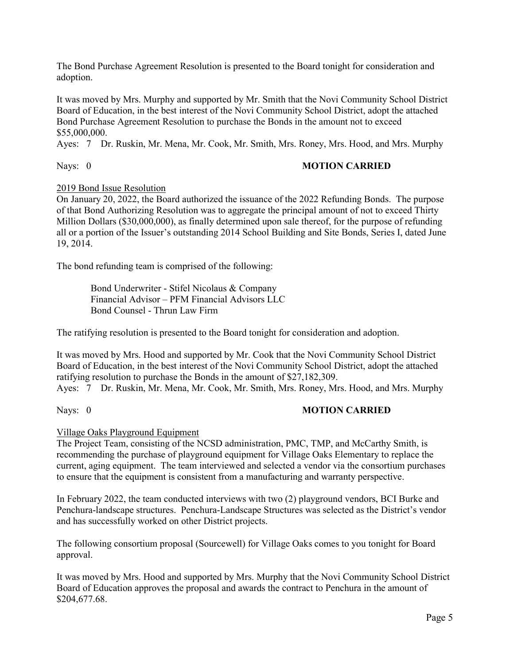The Bond Purchase Agreement Resolution is presented to the Board tonight for consideration and adoption.

It was moved by Mrs. Murphy and supported by Mr. Smith that the Novi Community School District Board of Education, in the best interest of the Novi Community School District, adopt the attached Bond Purchase Agreement Resolution to purchase the Bonds in the amount not to exceed \$55,000,000.

Ayes: 7 Dr. Ruskin, Mr. Mena, Mr. Cook, Mr. Smith, Mrs. Roney, Mrs. Hood, and Mrs. Murphy

# Nays: 0 **MOTION CARRIED**

# 2019 Bond Issue Resolution

On January 20, 2022, the Board authorized the issuance of the 2022 Refunding Bonds. The purpose of that Bond Authorizing Resolution was to aggregate the principal amount of not to exceed Thirty Million Dollars (\$30,000,000), as finally determined upon sale thereof, for the purpose of refunding all or a portion of the Issuer's outstanding 2014 School Building and Site Bonds, Series I, dated June 19, 2014.

The bond refunding team is comprised of the following:

Bond Underwriter - Stifel Nicolaus & Company Financial Advisor – PFM Financial Advisors LLC Bond Counsel - Thrun Law Firm

The ratifying resolution is presented to the Board tonight for consideration and adoption.

It was moved by Mrs. Hood and supported by Mr. Cook that the Novi Community School District Board of Education, in the best interest of the Novi Community School District, adopt the attached ratifying resolution to purchase the Bonds in the amount of \$27,182,309. Ayes: 7 Dr. Ruskin, Mr. Mena, Mr. Cook, Mr. Smith, Mrs. Roney, Mrs. Hood, and Mrs. Murphy

# Nays: 0 **MOTION CARRIED**

#### Village Oaks Playground Equipment

The Project Team, consisting of the NCSD administration, PMC, TMP, and McCarthy Smith, is recommending the purchase of playground equipment for Village Oaks Elementary to replace the current, aging equipment. The team interviewed and selected a vendor via the consortium purchases to ensure that the equipment is consistent from a manufacturing and warranty perspective.

In February 2022, the team conducted interviews with two (2) playground vendors, BCI Burke and Penchura-landscape structures. Penchura-Landscape Structures was selected as the District's vendor and has successfully worked on other District projects.

The following consortium proposal (Sourcewell) for Village Oaks comes to you tonight for Board approval.

It was moved by Mrs. Hood and supported by Mrs. Murphy that the Novi Community School District Board of Education approves the proposal and awards the contract to Penchura in the amount of \$204,677.68.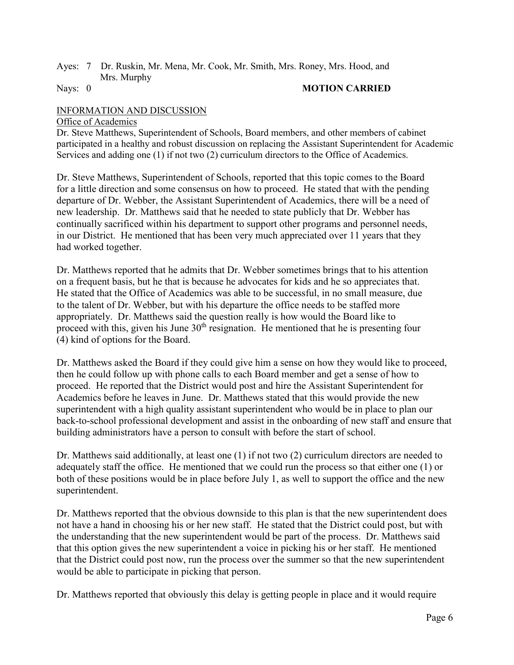# Ayes: 7 Dr. Ruskin, Mr. Mena, Mr. Cook, Mr. Smith, Mrs. Roney, Mrs. Hood, and Mrs. Murphy<br>Nays: 0

#### **MOTION CARRIED**

# INFORMATION AND DISCUSSION

#### Office of Academics

Dr. Steve Matthews, Superintendent of Schools, Board members, and other members of cabinet participated in a healthy and robust discussion on replacing the Assistant Superintendent for Academic Services and adding one (1) if not two (2) curriculum directors to the Office of Academics.

Dr. Steve Matthews, Superintendent of Schools, reported that this topic comes to the Board for a little direction and some consensus on how to proceed. He stated that with the pending departure of Dr. Webber, the Assistant Superintendent of Academics, there will be a need of new leadership. Dr. Matthews said that he needed to state publicly that Dr. Webber has continually sacrificed within his department to support other programs and personnel needs, in our District. He mentioned that has been very much appreciated over 11 years that they had worked together.

Dr. Matthews reported that he admits that Dr. Webber sometimes brings that to his attention on a frequent basis, but he that is because he advocates for kids and he so appreciates that. He stated that the Office of Academics was able to be successful, in no small measure, due to the talent of Dr. Webber, but with his departure the office needs to be staffed more appropriately. Dr. Matthews said the question really is how would the Board like to proceed with this, given his June  $30<sup>th</sup>$  resignation. He mentioned that he is presenting four (4) kind of options for the Board.

Dr. Matthews asked the Board if they could give him a sense on how they would like to proceed, then he could follow up with phone calls to each Board member and get a sense of how to proceed. He reported that the District would post and hire the Assistant Superintendent for Academics before he leaves in June. Dr. Matthews stated that this would provide the new superintendent with a high quality assistant superintendent who would be in place to plan our back-to-school professional development and assist in the onboarding of new staff and ensure that building administrators have a person to consult with before the start of school.

Dr. Matthews said additionally, at least one (1) if not two (2) curriculum directors are needed to adequately staff the office. He mentioned that we could run the process so that either one (1) or both of these positions would be in place before July 1, as well to support the office and the new superintendent.

Dr. Matthews reported that the obvious downside to this plan is that the new superintendent does not have a hand in choosing his or her new staff. He stated that the District could post, but with the understanding that the new superintendent would be part of the process. Dr. Matthews said that this option gives the new superintendent a voice in picking his or her staff. He mentioned that the District could post now, run the process over the summer so that the new superintendent would be able to participate in picking that person.

Dr. Matthews reported that obviously this delay is getting people in place and it would require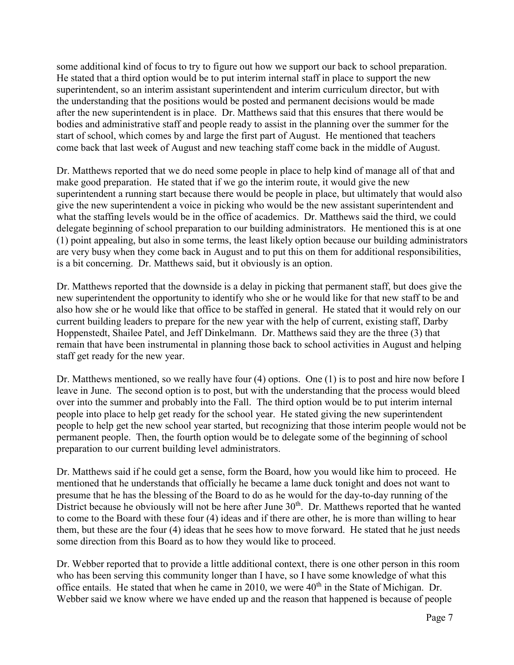some additional kind of focus to try to figure out how we support our back to school preparation. He stated that a third option would be to put interim internal staff in place to support the new superintendent, so an interim assistant superintendent and interim curriculum director, but with the understanding that the positions would be posted and permanent decisions would be made after the new superintendent is in place. Dr. Matthews said that this ensures that there would be bodies and administrative staff and people ready to assist in the planning over the summer for the start of school, which comes by and large the first part of August. He mentioned that teachers come back that last week of August and new teaching staff come back in the middle of August.

Dr. Matthews reported that we do need some people in place to help kind of manage all of that and make good preparation. He stated that if we go the interim route, it would give the new superintendent a running start because there would be people in place, but ultimately that would also give the new superintendent a voice in picking who would be the new assistant superintendent and what the staffing levels would be in the office of academics. Dr. Matthews said the third, we could delegate beginning of school preparation to our building administrators. He mentioned this is at one (1) point appealing, but also in some terms, the least likely option because our building administrators are very busy when they come back in August and to put this on them for additional responsibilities, is a bit concerning. Dr. Matthews said, but it obviously is an option.

Dr. Matthews reported that the downside is a delay in picking that permanent staff, but does give the new superintendent the opportunity to identify who she or he would like for that new staff to be and also how she or he would like that office to be staffed in general. He stated that it would rely on our current building leaders to prepare for the new year with the help of current, existing staff, Darby Hoppenstedt, Shailee Patel, and Jeff Dinkelmann. Dr. Matthews said they are the three (3) that remain that have been instrumental in planning those back to school activities in August and helping staff get ready for the new year.

Dr. Matthews mentioned, so we really have four (4) options. One (1) is to post and hire now before I leave in June. The second option is to post, but with the understanding that the process would bleed over into the summer and probably into the Fall. The third option would be to put interim internal people into place to help get ready for the school year. He stated giving the new superintendent people to help get the new school year started, but recognizing that those interim people would not be permanent people. Then, the fourth option would be to delegate some of the beginning of school preparation to our current building level administrators.

Dr. Matthews said if he could get a sense, form the Board, how you would like him to proceed. He mentioned that he understands that officially he became a lame duck tonight and does not want to presume that he has the blessing of the Board to do as he would for the day-to-day running of the District because he obviously will not be here after June  $30<sup>th</sup>$ . Dr. Matthews reported that he wanted to come to the Board with these four (4) ideas and if there are other, he is more than willing to hear them, but these are the four (4) ideas that he sees how to move forward. He stated that he just needs some direction from this Board as to how they would like to proceed.

Dr. Webber reported that to provide a little additional context, there is one other person in this room who has been serving this community longer than I have, so I have some knowledge of what this office entails. He stated that when he came in 2010, we were  $40<sup>th</sup>$  in the State of Michigan. Dr. Webber said we know where we have ended up and the reason that happened is because of people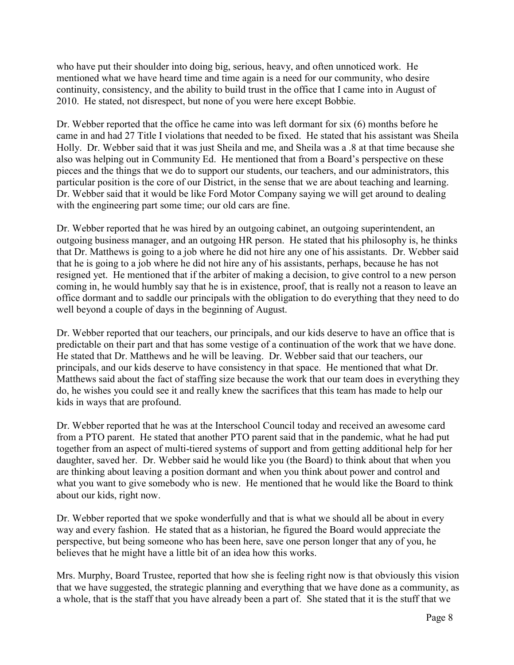who have put their shoulder into doing big, serious, heavy, and often unnoticed work. He mentioned what we have heard time and time again is a need for our community, who desire continuity, consistency, and the ability to build trust in the office that I came into in August of 2010. He stated, not disrespect, but none of you were here except Bobbie.

Dr. Webber reported that the office he came into was left dormant for six (6) months before he came in and had 27 Title I violations that needed to be fixed. He stated that his assistant was Sheila Holly. Dr. Webber said that it was just Sheila and me, and Sheila was a .8 at that time because she also was helping out in Community Ed. He mentioned that from a Board's perspective on these pieces and the things that we do to support our students, our teachers, and our administrators, this particular position is the core of our District, in the sense that we are about teaching and learning. Dr. Webber said that it would be like Ford Motor Company saying we will get around to dealing with the engineering part some time; our old cars are fine.

Dr. Webber reported that he was hired by an outgoing cabinet, an outgoing superintendent, an outgoing business manager, and an outgoing HR person. He stated that his philosophy is, he thinks that Dr. Matthews is going to a job where he did not hire any one of his assistants. Dr. Webber said that he is going to a job where he did not hire any of his assistants, perhaps, because he has not resigned yet. He mentioned that if the arbiter of making a decision, to give control to a new person coming in, he would humbly say that he is in existence, proof, that is really not a reason to leave an office dormant and to saddle our principals with the obligation to do everything that they need to do well beyond a couple of days in the beginning of August.

Dr. Webber reported that our teachers, our principals, and our kids deserve to have an office that is predictable on their part and that has some vestige of a continuation of the work that we have done. He stated that Dr. Matthews and he will be leaving. Dr. Webber said that our teachers, our principals, and our kids deserve to have consistency in that space. He mentioned that what Dr. Matthews said about the fact of staffing size because the work that our team does in everything they do, he wishes you could see it and really knew the sacrifices that this team has made to help our kids in ways that are profound.

Dr. Webber reported that he was at the Interschool Council today and received an awesome card from a PTO parent. He stated that another PTO parent said that in the pandemic, what he had put together from an aspect of multi-tiered systems of support and from getting additional help for her daughter, saved her. Dr. Webber said he would like you (the Board) to think about that when you are thinking about leaving a position dormant and when you think about power and control and what you want to give somebody who is new. He mentioned that he would like the Board to think about our kids, right now.

Dr. Webber reported that we spoke wonderfully and that is what we should all be about in every way and every fashion. He stated that as a historian, he figured the Board would appreciate the perspective, but being someone who has been here, save one person longer that any of you, he believes that he might have a little bit of an idea how this works.

Mrs. Murphy, Board Trustee, reported that how she is feeling right now is that obviously this vision that we have suggested, the strategic planning and everything that we have done as a community, as a whole, that is the staff that you have already been a part of. She stated that it is the stuff that we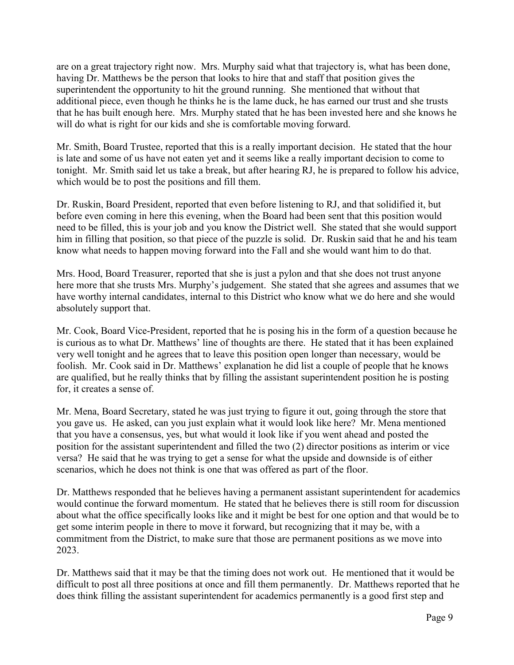are on a great trajectory right now. Mrs. Murphy said what that trajectory is, what has been done, having Dr. Matthews be the person that looks to hire that and staff that position gives the superintendent the opportunity to hit the ground running. She mentioned that without that additional piece, even though he thinks he is the lame duck, he has earned our trust and she trusts that he has built enough here. Mrs. Murphy stated that he has been invested here and she knows he will do what is right for our kids and she is comfortable moving forward.

Mr. Smith, Board Trustee, reported that this is a really important decision. He stated that the hour is late and some of us have not eaten yet and it seems like a really important decision to come to tonight. Mr. Smith said let us take a break, but after hearing RJ, he is prepared to follow his advice, which would be to post the positions and fill them.

Dr. Ruskin, Board President, reported that even before listening to RJ, and that solidified it, but before even coming in here this evening, when the Board had been sent that this position would need to be filled, this is your job and you know the District well. She stated that she would support him in filling that position, so that piece of the puzzle is solid. Dr. Ruskin said that he and his team know what needs to happen moving forward into the Fall and she would want him to do that.

Mrs. Hood, Board Treasurer, reported that she is just a pylon and that she does not trust anyone here more that she trusts Mrs. Murphy's judgement. She stated that she agrees and assumes that we have worthy internal candidates, internal to this District who know what we do here and she would absolutely support that.

Mr. Cook, Board Vice-President, reported that he is posing his in the form of a question because he is curious as to what Dr. Matthews' line of thoughts are there. He stated that it has been explained very well tonight and he agrees that to leave this position open longer than necessary, would be foolish. Mr. Cook said in Dr. Matthews' explanation he did list a couple of people that he knows are qualified, but he really thinks that by filling the assistant superintendent position he is posting for, it creates a sense of.

Mr. Mena, Board Secretary, stated he was just trying to figure it out, going through the store that you gave us. He asked, can you just explain what it would look like here? Mr. Mena mentioned that you have a consensus, yes, but what would it look like if you went ahead and posted the position for the assistant superintendent and filled the two (2) director positions as interim or vice versa? He said that he was trying to get a sense for what the upside and downside is of either scenarios, which he does not think is one that was offered as part of the floor.

Dr. Matthews responded that he believes having a permanent assistant superintendent for academics would continue the forward momentum. He stated that he believes there is still room for discussion about what the office specifically looks like and it might be best for one option and that would be to get some interim people in there to move it forward, but recognizing that it may be, with a commitment from the District, to make sure that those are permanent positions as we move into 2023.

Dr. Matthews said that it may be that the timing does not work out. He mentioned that it would be difficult to post all three positions at once and fill them permanently. Dr. Matthews reported that he does think filling the assistant superintendent for academics permanently is a good first step and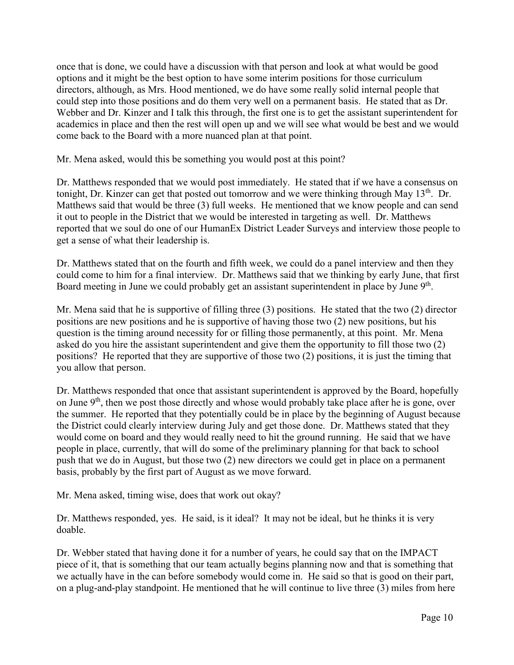once that is done, we could have a discussion with that person and look at what would be good options and it might be the best option to have some interim positions for those curriculum directors, although, as Mrs. Hood mentioned, we do have some really solid internal people that could step into those positions and do them very well on a permanent basis. He stated that as Dr. Webber and Dr. Kinzer and I talk this through, the first one is to get the assistant superintendent for academics in place and then the rest will open up and we will see what would be best and we would come back to the Board with a more nuanced plan at that point.

Mr. Mena asked, would this be something you would post at this point?

Dr. Matthews responded that we would post immediately. He stated that if we have a consensus on tonight, Dr. Kinzer can get that posted out tomorrow and we were thinking through May  $13<sup>th</sup>$ . Dr. Matthews said that would be three (3) full weeks. He mentioned that we know people and can send it out to people in the District that we would be interested in targeting as well. Dr. Matthews reported that we soul do one of our HumanEx District Leader Surveys and interview those people to get a sense of what their leadership is.

Dr. Matthews stated that on the fourth and fifth week, we could do a panel interview and then they could come to him for a final interview. Dr. Matthews said that we thinking by early June, that first Board meeting in June we could probably get an assistant superintendent in place by June 9<sup>th</sup>.

Mr. Mena said that he is supportive of filling three (3) positions. He stated that the two (2) director positions are new positions and he is supportive of having those two (2) new positions, but his question is the timing around necessity for or filling those permanently, at this point. Mr. Mena asked do you hire the assistant superintendent and give them the opportunity to fill those two (2) positions? He reported that they are supportive of those two (2) positions, it is just the timing that you allow that person.

Dr. Matthews responded that once that assistant superintendent is approved by the Board, hopefully on June  $9<sup>th</sup>$ , then we post those directly and whose would probably take place after he is gone, over the summer. He reported that they potentially could be in place by the beginning of August because the District could clearly interview during July and get those done. Dr. Matthews stated that they would come on board and they would really need to hit the ground running. He said that we have people in place, currently, that will do some of the preliminary planning for that back to school push that we do in August, but those two (2) new directors we could get in place on a permanent basis, probably by the first part of August as we move forward.

Mr. Mena asked, timing wise, does that work out okay?

Dr. Matthews responded, yes. He said, is it ideal? It may not be ideal, but he thinks it is very doable.

Dr. Webber stated that having done it for a number of years, he could say that on the IMPACT piece of it, that is something that our team actually begins planning now and that is something that we actually have in the can before somebody would come in. He said so that is good on their part, on a plug-and-play standpoint. He mentioned that he will continue to live three (3) miles from here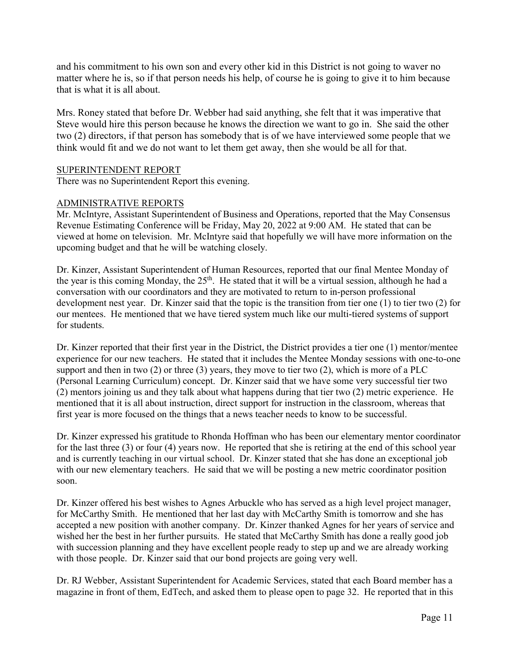and his commitment to his own son and every other kid in this District is not going to waver no matter where he is, so if that person needs his help, of course he is going to give it to him because that is what it is all about.

Mrs. Roney stated that before Dr. Webber had said anything, she felt that it was imperative that Steve would hire this person because he knows the direction we want to go in. She said the other two (2) directors, if that person has somebody that is of we have interviewed some people that we think would fit and we do not want to let them get away, then she would be all for that.

#### SUPERINTENDENT REPORT

There was no Superintendent Report this evening.

#### ADMINISTRATIVE REPORTS

Mr. McIntyre, Assistant Superintendent of Business and Operations, reported that the May Consensus Revenue Estimating Conference will be Friday, May 20, 2022 at 9:00 AM. He stated that can be viewed at home on television. Mr. McIntyre said that hopefully we will have more information on the upcoming budget and that he will be watching closely.

Dr. Kinzer, Assistant Superintendent of Human Resources, reported that our final Mentee Monday of the year is this coming Monday, the  $25<sup>th</sup>$ . He stated that it will be a virtual session, although he had a conversation with our coordinators and they are motivated to return to in-person professional development nest year. Dr. Kinzer said that the topic is the transition from tier one (1) to tier two (2) for our mentees. He mentioned that we have tiered system much like our multi-tiered systems of support for students.

Dr. Kinzer reported that their first year in the District, the District provides a tier one (1) mentor/mentee experience for our new teachers. He stated that it includes the Mentee Monday sessions with one-to-one support and then in two  $(2)$  or three  $(3)$  years, they move to tier two  $(2)$ , which is more of a PLC (Personal Learning Curriculum) concept. Dr. Kinzer said that we have some very successful tier two (2) mentors joining us and they talk about what happens during that tier two (2) metric experience. He mentioned that it is all about instruction, direct support for instruction in the classroom, whereas that first year is more focused on the things that a news teacher needs to know to be successful.

Dr. Kinzer expressed his gratitude to Rhonda Hoffman who has been our elementary mentor coordinator for the last three (3) or four (4) years now. He reported that she is retiring at the end of this school year and is currently teaching in our virtual school. Dr. Kinzer stated that she has done an exceptional job with our new elementary teachers. He said that we will be posting a new metric coordinator position soon.

Dr. Kinzer offered his best wishes to Agnes Arbuckle who has served as a high level project manager, for McCarthy Smith. He mentioned that her last day with McCarthy Smith is tomorrow and she has accepted a new position with another company. Dr. Kinzer thanked Agnes for her years of service and wished her the best in her further pursuits. He stated that McCarthy Smith has done a really good job with succession planning and they have excellent people ready to step up and we are already working with those people. Dr. Kinzer said that our bond projects are going very well.

Dr. RJ Webber, Assistant Superintendent for Academic Services, stated that each Board member has a magazine in front of them, EdTech, and asked them to please open to page 32. He reported that in this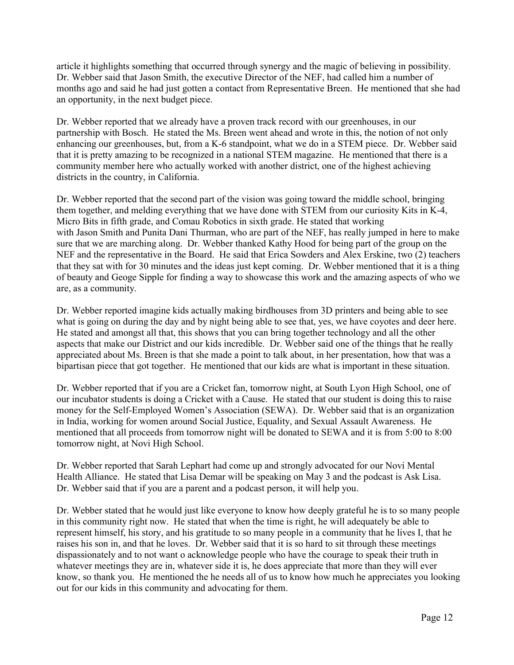article it highlights something that occurred through synergy and the magic of believing in possibility. Dr. Webber said that Jason Smith, the executive Director of the NEF, had called him a number of months ago and said he had just gotten a contact from Representative Breen. He mentioned that she had an opportunity, in the next budget piece.

Dr. Webber reported that we already have a proven track record with our greenhouses, in our partnership with Bosch. He stated the Ms. Breen went ahead and wrote in this, the notion of not only enhancing our greenhouses, but, from a K-6 standpoint, what we do in a STEM piece. Dr. Webber said that it is pretty amazing to be recognized in a national STEM magazine. He mentioned that there is a community member here who actually worked with another district, one of the highest achieving districts in the country, in California.

Dr. Webber reported that the second part of the vision was going toward the middle school, bringing them together, and melding everything that we have done with STEM from our curiosity Kits in K-4, Micro Bits in fifth grade, and Comau Robotics in sixth grade. He stated that working with Jason Smith and Punita Dani Thurman, who are part of the NEF, has really jumped in here to make sure that we are marching along. Dr. Webber thanked Kathy Hood for being part of the group on the NEF and the representative in the Board. He said that Erica Sowders and Alex Erskine, two (2) teachers that they sat with for 30 minutes and the ideas just kept coming. Dr. Webber mentioned that it is a thing of beauty and Geoge Sipple for finding a way to showcase this work and the amazing aspects of who we are, as a community.

Dr. Webber reported imagine kids actually making birdhouses from 3D printers and being able to see what is going on during the day and by night being able to see that, yes, we have coyotes and deer here. He stated and amongst all that, this shows that you can bring together technology and all the other aspects that make our District and our kids incredible. Dr. Webber said one of the things that he really appreciated about Ms. Breen is that she made a point to talk about, in her presentation, how that was a bipartisan piece that got together. He mentioned that our kids are what is important in these situation.

Dr. Webber reported that if you are a Cricket fan, tomorrow night, at South Lyon High School, one of our incubator students is doing a Cricket with a Cause. He stated that our student is doing this to raise money for the Self-Employed Women's Association (SEWA). Dr. Webber said that is an organization in India, working for women around Social Justice, Equality, and Sexual Assault Awareness. He mentioned that all proceeds from tomorrow night will be donated to SEWA and it is from 5:00 to 8:00 tomorrow night, at Novi High School.

Dr. Webber reported that Sarah Lephart had come up and strongly advocated for our Novi Mental Health Alliance. He stated that Lisa Demar will be speaking on May 3 and the podcast is Ask Lisa. Dr. Webber said that if you are a parent and a podcast person, it will help you.

Dr. Webber stated that he would just like everyone to know how deeply grateful he is to so many people in this community right now. He stated that when the time is right, he will adequately be able to represent himself, his story, and his gratitude to so many people in a community that he lives I, that he raises his son in, and that he loves. Dr. Webber said that it is so hard to sit through these meetings dispassionately and to not want o acknowledge people who have the courage to speak their truth in whatever meetings they are in, whatever side it is, he does appreciate that more than they will ever know, so thank you. He mentioned the he needs all of us to know how much he appreciates you looking out for our kids in this community and advocating for them.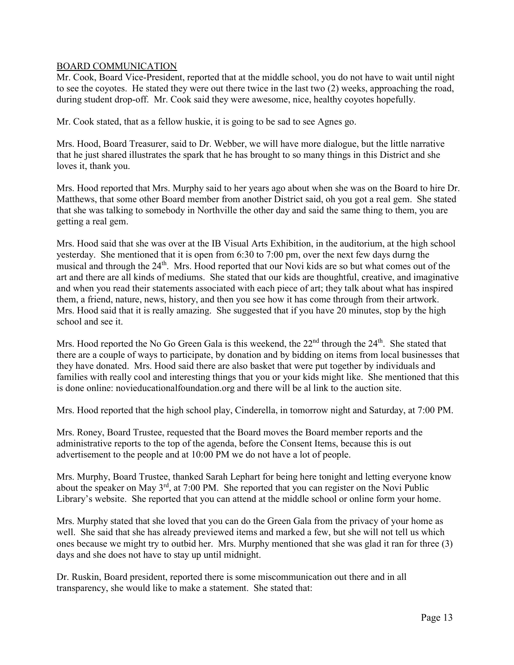# BOARD COMMUNICATION

Mr. Cook, Board Vice-President, reported that at the middle school, you do not have to wait until night to see the coyotes. He stated they were out there twice in the last two (2) weeks, approaching the road, during student drop-off. Mr. Cook said they were awesome, nice, healthy coyotes hopefully.

Mr. Cook stated, that as a fellow huskie, it is going to be sad to see Agnes go.

Mrs. Hood, Board Treasurer, said to Dr. Webber, we will have more dialogue, but the little narrative that he just shared illustrates the spark that he has brought to so many things in this District and she loves it, thank you.

Mrs. Hood reported that Mrs. Murphy said to her years ago about when she was on the Board to hire Dr. Matthews, that some other Board member from another District said, oh you got a real gem. She stated that she was talking to somebody in Northville the other day and said the same thing to them, you are getting a real gem.

Mrs. Hood said that she was over at the IB Visual Arts Exhibition, in the auditorium, at the high school yesterday. She mentioned that it is open from 6:30 to 7:00 pm, over the next few days durng the musical and through the 24<sup>th</sup>. Mrs. Hood reported that our Novi kids are so but what comes out of the art and there are all kinds of mediums. She stated that our kids are thoughtful, creative, and imaginative and when you read their statements associated with each piece of art; they talk about what has inspired them, a friend, nature, news, history, and then you see how it has come through from their artwork. Mrs. Hood said that it is really amazing. She suggested that if you have 20 minutes, stop by the high school and see it.

Mrs. Hood reported the No Go Green Gala is this weekend, the  $22<sup>nd</sup>$  through the  $24<sup>th</sup>$ . She stated that there are a couple of ways to participate, by donation and by bidding on items from local businesses that they have donated. Mrs. Hood said there are also basket that were put together by individuals and families with really cool and interesting things that you or your kids might like. She mentioned that this is done online: novieducationalfoundation.org and there will be al link to the auction site.

Mrs. Hood reported that the high school play, Cinderella, in tomorrow night and Saturday, at 7:00 PM.

Mrs. Roney, Board Trustee, requested that the Board moves the Board member reports and the administrative reports to the top of the agenda, before the Consent Items, because this is out advertisement to the people and at 10:00 PM we do not have a lot of people.

Mrs. Murphy, Board Trustee, thanked Sarah Lephart for being here tonight and letting everyone know about the speaker on May 3<sup>rd</sup>, at 7:00 PM. She reported that you can register on the Novi Public Library's website. She reported that you can attend at the middle school or online form your home.

Mrs. Murphy stated that she loved that you can do the Green Gala from the privacy of your home as well. She said that she has already previewed items and marked a few, but she will not tell us which ones because we might try to outbid her. Mrs. Murphy mentioned that she was glad it ran for three (3) days and she does not have to stay up until midnight.

Dr. Ruskin, Board president, reported there is some miscommunication out there and in all transparency, she would like to make a statement. She stated that: